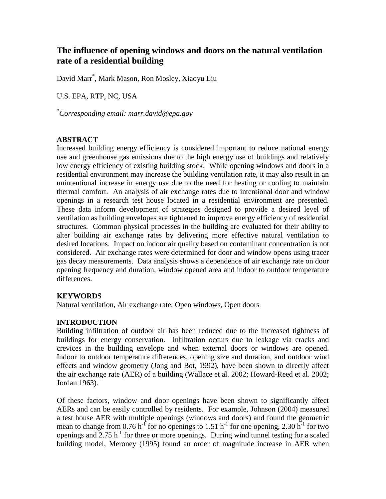# **The influence of opening windows and doors on the natural ventilation rate of a residential building**

David Marr\* , Mark Mason, Ron Mosley, Xiaoyu Liu

U.S. EPA, RTP, NC, USA

*\*Corresponding email: marr.david@epa.gov*

## **ABSTRACT**

Increased building energy efficiency is considered important to reduce national energy use and greenhouse gas emissions due to the high energy use of buildings and relatively low energy efficiency of existing building stock. While opening windows and doors in a residential environment may increase the building ventilation rate, it may also result in an unintentional increase in energy use due to the need for heating or cooling to maintain thermal comfort. An analysis of air exchange rates due to intentional door and window openings in a research test house located in a residential environment are presented. These data inform development of strategies designed to provide a desired level of ventilation as building envelopes are tightened to improve energy efficiency of residential structures. Common physical processes in the building are evaluated for their ability to alter building air exchange rates by delivering more effective natural ventilation to desired locations. Impact on indoor air quality based on contaminant concentration is not considered. Air exchange rates were determined for door and window opens using tracer gas decay measurements. Data analysis shows a dependence of air exchange rate on door opening frequency and duration, window opened area and indoor to outdoor temperature differences.

# **KEYWORDS**

Natural ventilation, Air exchange rate, Open windows, Open doors

# **INTRODUCTION**

Building infiltration of outdoor air has been reduced due to the increased tightness of buildings for energy conservation. Infiltration occurs due to leakage via cracks and crevices in the building envelope and when external doors or windows are opened. Indoor to outdoor temperature differences, opening size and duration, and outdoor wind effects and window geometry (Jong and Bot, 1992), have been shown to directly affect the air exchange rate (AER) of a building (Wallace et al. 2002; Howard-Reed et al. 2002; Jordan 1963).

Of these factors, window and door openings have been shown to significantly affect AERs and can be easily controlled by residents. For example, Johnson (2004) measured a test house AER with multiple openings (windows and doors) and found the geometric mean to change from 0.76 h<sup>-1</sup> for no openings to 1.51 h<sup>-1</sup> for one opening, 2.30 h<sup>-1</sup> for two openings and  $2.75$  h<sup>-1</sup> for three or more openings. During wind tunnel testing for a scaled building model, Meroney (1995) found an order of magnitude increase in AER when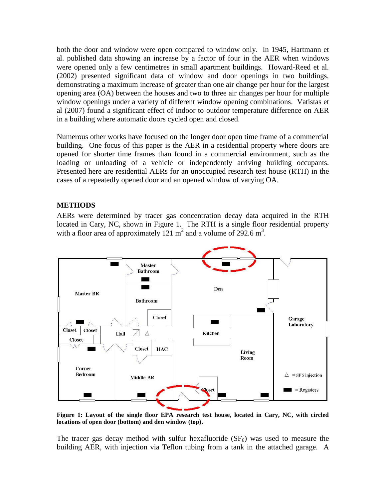both the door and window were open compared to window only. In 1945, Hartmann et al. published data showing an increase by a factor of four in the AER when windows were opened only a few centimetres in small apartment buildings. Howard-Reed et al. (2002) presented significant data of window and door openings in two buildings, demonstrating a maximum increase of greater than one air change per hour for the largest opening area (OA) between the houses and two to three air changes per hour for multiple window openings under a variety of different window opening combinations. Vatistas et al (2007) found a significant effect of indoor to outdoor temperature difference on AER in a building where automatic doors cycled open and closed.

Numerous other works have focused on the longer door open time frame of a commercial building. One focus of this paper is the AER in a residential property where doors are opened for shorter time frames than found in a commercial environment, such as the loading or unloading of a vehicle or independently arriving building occupants. Presented here are residential AERs for an unoccupied research test house (RTH) in the cases of a repeatedly opened door and an opened window of varying OA.

## **METHODS**

AERs were determined by tracer gas concentration decay data acquired in the RTH located in Cary, NC, shown in [Figure 1.](#page-1-0) The RTH is a single floor residential property with a floor area of approximately  $121 \text{ m}^2$  and a volume of  $292.6 \text{ m}^3$ .



<span id="page-1-0"></span>**Figure 1: Layout of the single floor EPA research test house, located in Cary, NC, with circled locations of open door (bottom) and den window (top).**

The tracer gas decay method with sulfur hexafluoride  $(SF_6)$  was used to measure the building AER, with injection via Teflon tubing from a tank in the attached garage. A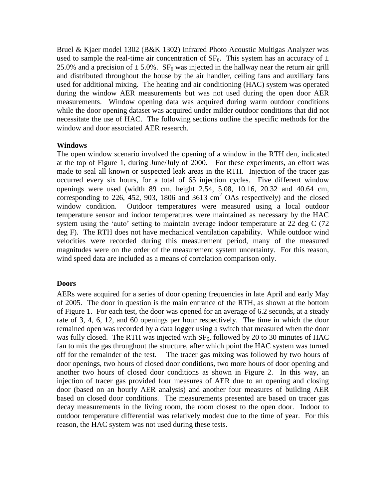Bruel & Kjaer model 1302 (B&K 1302) Infrared Photo Acoustic Multigas Analyzer was used to sample the real-time air concentration of  $SF_6$ . This system has an accuracy of  $\pm$ 25.0% and a precision of  $\pm$  5.0%. SF<sub>6</sub> was injected in the hallway near the return air grill and distributed throughout the house by the air handler, ceiling fans and auxiliary fans used for additional mixing. The heating and air conditioning (HAC) system was operated during the window AER measurements but was not used during the open door AER measurements. Window opening data was acquired during warm outdoor conditions while the door opening dataset was acquired under milder outdoor conditions that did not necessitate the use of HAC. The following sections outline the specific methods for the window and door associated AER research.

## **Windows**

The open window scenario involved the opening of a window in the RTH den, indicated at the top of [Figure 1,](#page-1-0) during June/July of 2000. For these experiments, an effort was made to seal all known or suspected leak areas in the RTH. Injection of the tracer gas occurred every six hours, for a total of 65 injection cycles. Five different window openings were used (width 89 cm, height 2.54, 5.08, 10.16, 20.32 and 40.64 cm, corresponding to 226, 452, 903, 1806 and 3613  $\text{cm}^2$  OAs respectively) and the closed window condition. Outdoor temperatures were measured using a local outdoor temperature sensor and indoor temperatures were maintained as necessary by the HAC system using the 'auto' setting to maintain average indoor temperature at 22 deg C (72) deg F). The RTH does not have mechanical ventilation capability. While outdoor wind velocities were recorded during this measurement period, many of the measured magnitudes were on the order of the measurement system uncertainty. For this reason, wind speed data are included as a means of correlation comparison only.

## **Doors**

AERs were acquired for a series of door opening frequencies in late April and early May of 2005. The door in question is the main entrance of the RTH, as shown at the bottom of [Figure 1.](#page-1-0) For each test, the door was opened for an average of 6.2 seconds, at a steady rate of 3, 4, 6, 12, and 60 openings per hour respectively. The time in which the door remained open was recorded by a data logger using a switch that measured when the door was fully closed. The RTH was injected with  $SF_6$ , followed by 20 to 30 minutes of HAC fan to mix the gas throughout the structure, after which point the HAC system was turned off for the remainder of the test. The tracer gas mixing was followed by two hours of door openings, two hours of closed door conditions, two more hours of door opening and another two hours of closed door conditions as shown in [Figure 2.](#page-3-0) In this way, an injection of tracer gas provided four measures of AER due to an opening and closing door (based on an hourly AER analysis) and another four measures of building AER based on closed door conditions. The measurements presented are based on tracer gas decay measurements in the living room, the room closest to the open door. Indoor to outdoor temperature differential was relatively modest due to the time of year. For this reason, the HAC system was not used during these tests.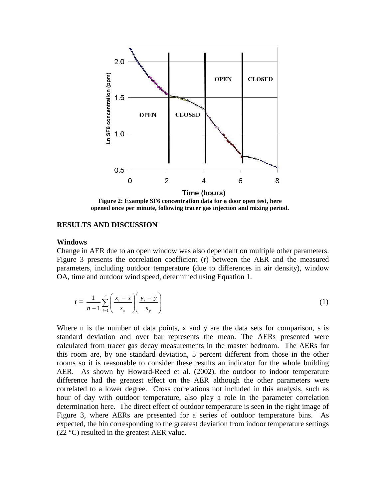

**Figure 2: Example SF6 concentration data for a door open test, here opened once per minute, following tracer gas injection and mixing period.**

#### <span id="page-3-0"></span>**RESULTS AND DISCUSSION**

#### **Windows**

Change in AER due to an open window was also dependant on multiple other parameters. [Figure 3](#page-4-0) presents the correlation coefficient (r) between the AER and the measured parameters, including outdoor temperature (due to differences in air density), window OA, time and outdoor wind speed, determined using Equation 1.

$$
\mathbf{r} = \frac{1}{n-1} \sum_{i=1}^{n} \left( \frac{x_i - \overline{x}}{s_x} \right) \left( \frac{y_i - \overline{y}}{s_y} \right) \tag{1}
$$

Where n is the number of data points, x and y are the data sets for comparison, s is standard deviation and over bar represents the mean. The AERs presented were calculated from tracer gas decay measurements in the master bedroom. The AERs for this room are, by one standard deviation, 5 percent different from those in the other rooms so it is reasonable to consider these results an indicator for the whole building AER. As shown by Howard-Reed et al. (2002), the outdoor to indoor temperature difference had the greatest effect on the AER although the other parameters were correlated to a lower degree. Cross correlations not included in this analysis, such as hour of day with outdoor temperature, also play a role in the parameter correlation determination here. The direct effect of outdoor temperature is seen in the right image of [Figure 3,](#page-4-0) where AERs are presented for a series of outdoor temperature bins. As expected, the bin corresponding to the greatest deviation from indoor temperature settings  $(22 \degree C)$  resulted in the greatest AER value.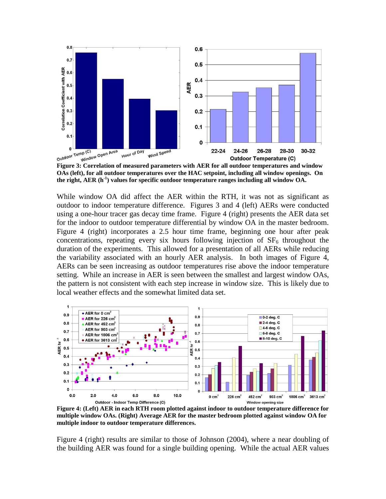

<span id="page-4-0"></span>**Figure 3: Correlation of measured parameters with AER for all outdoor temperatures and window OAs (left), for all outdoor temperatures over the HAC setpoint, including all window openings. On the right, AER (h-1 ) values for specific outdoor temperature ranges including all window OA.**

While window OA did affect the AER within the RTH, it was not as significant as outdoor to indoor temperature difference. Figures 3 and 4 (left) AERs were conducted using a one-hour tracer gas decay time frame. [Figure 4](#page-4-1) (right) presents the AER data set for the indoor to outdoor temperature differential by window OA in the master bedroom. [Figure 4](#page-4-1) (right) incorporates a 2.5 hour time frame, beginning one hour after peak concentrations, repeating every six hours following injection of  $SF<sub>6</sub>$  throughout the duration of the experiments. This allowed for a presentation of all AERs while reducing the variability associated with an hourly AER analysis. In both images of Figure 4, AERs can be seen increasing as outdoor temperatures rise above the indoor temperature setting. While an increase in AER is seen between the smallest and largest window OAs, the pattern is not consistent with each step increase in window size. This is likely due to local weather effects and the somewhat limited data set.



<span id="page-4-1"></span>**Figure 4: (Left) AER in each RTH room plotted against indoor to outdoor temperature difference for multiple window OAs. (Right) Average AER for the master bedroom plotted against window OA for multiple indoor to outdoor temperature differences.**

[Figure 4](#page-4-1) (right) results are similar to those of Johnson (2004), where a near doubling of the building AER was found for a single building opening. While the actual AER values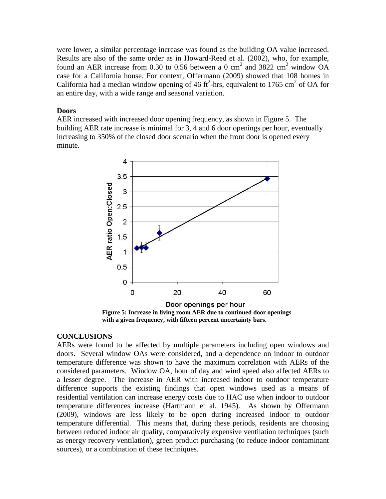were lower, a similar percentage increase was found as the building OA value increased. Results are also of the same order as in Howard-Reed et al. (2002), who, for example, found an AER increase from 0.30 to 0.56 between a 0 cm<sup>2</sup> and 3822 cm<sup>2</sup> window OA case for a California house. For context, Offermann (2009) showed that 108 homes in California had a median window opening of 46 ft<sup>2</sup>-hrs, equivalent to 1765 cm<sup>2</sup> of OA for an entire day, with a wide range and seasonal variation.

#### **Doors**

AER increased with increased door opening frequency, as shown in [Figure 5.](#page-5-0) The building AER rate increase is minimal for 3, 4 and 6 door openings per hour, eventually increasing to 350% of the closed door scenario when the front door is opened every minute.



**with a given frequency, with fifteen percent uncertainty bars.**

## <span id="page-5-0"></span>**CONCLUSIONS**

AERs were found to be affected by multiple parameters including open windows and doors. Several window OAs were considered, and a dependence on indoor to outdoor temperature difference was shown to have the maximum correlation with AERs of the considered parameters. Window OA, hour of day and wind speed also affected AERs to a lesser degree. The increase in AER with increased indoor to outdoor temperature difference supports the existing findings that open windows used as a means of residential ventilation can increase energy costs due to HAC use when indoor to outdoor temperature differences increase (Hartmann et al. 1945). As shown by Offermann (2009), windows are less likely to be open during increased indoor to outdoor temperature differential. This means that, during these periods, residents are choosing between reduced indoor air quality, comparatively expensive ventilation techniques (such as energy recovery ventilation), green product purchasing (to reduce indoor contaminant sources), or a combination of these techniques.